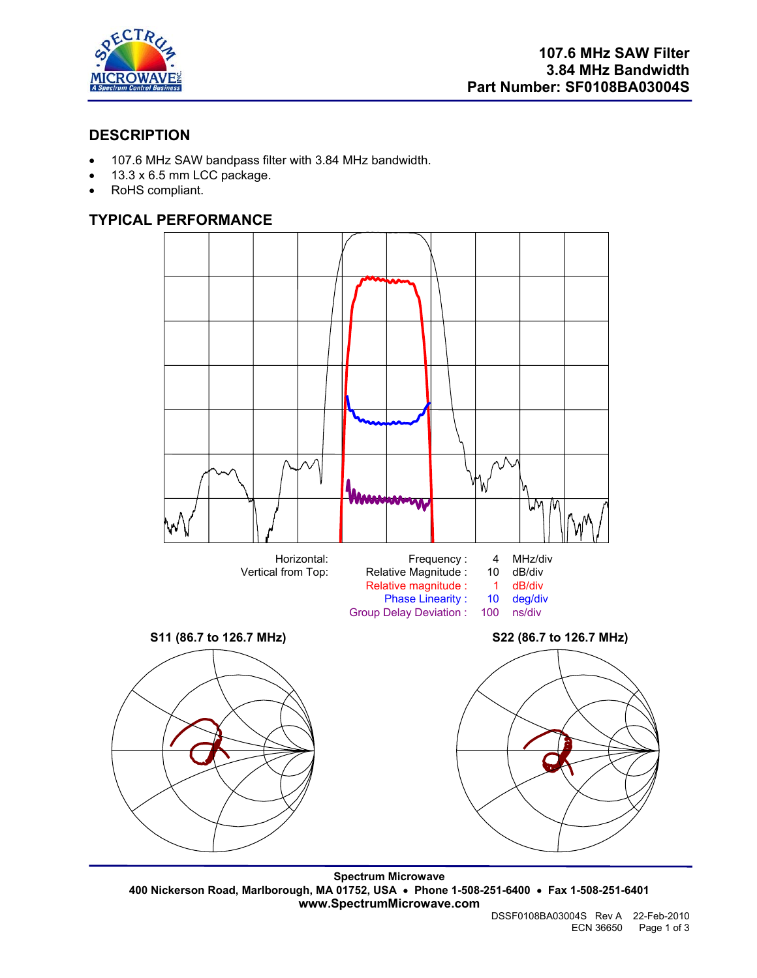

# **DESCRIPTION**

- 107.6 MHz SAW bandpass filter with 3.84 MHz bandwidth.
- 13.3 x 6.5 mm LCC package.
- RoHS compliant.

# **TYPICAL PERFORMANCE**



**Spectrum Microwave 400 Nickerson Road, Marlborough, MA 01752, USA** • **Phone 1-508-251-6400** • **Fax 1-508-251-6401 www.SpectrumMicrowave.com**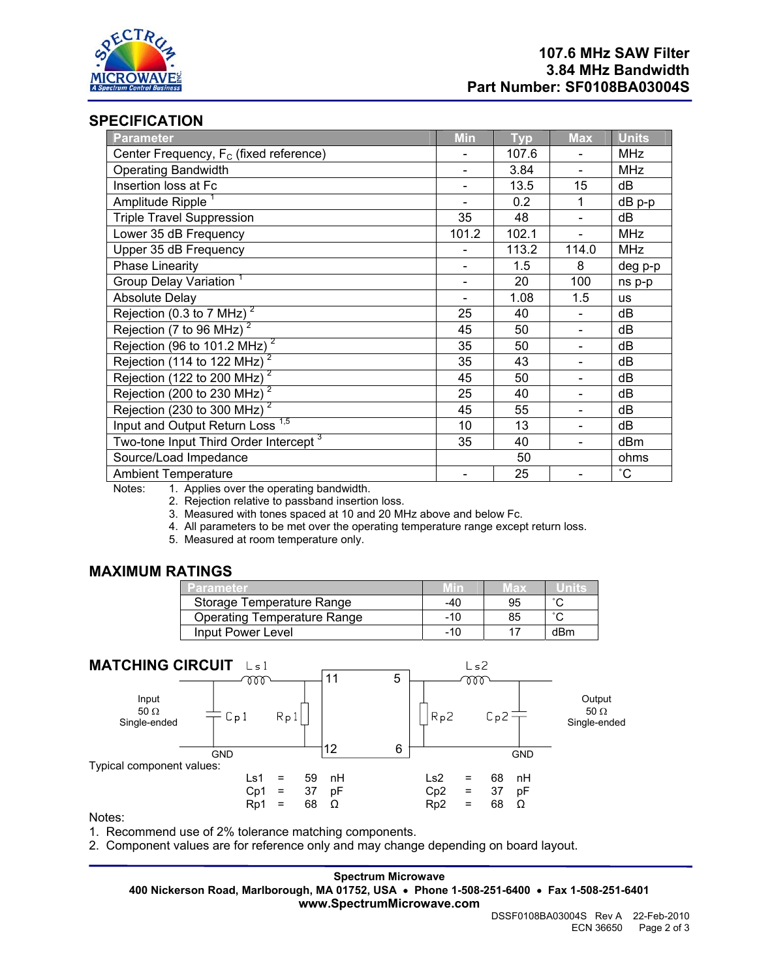

## **SPECIFICATION**

| Parameter                                                                    | <b>Min</b>     | <b>Typ</b> | <b>Max</b>                   | <b>Units</b> |
|------------------------------------------------------------------------------|----------------|------------|------------------------------|--------------|
| Center Frequency, F <sub>c</sub> (fixed reference)                           |                | 107.6      |                              | <b>MHz</b>   |
| <b>Operating Bandwidth</b>                                                   | $\blacksquare$ | 3.84       | $\overline{\phantom{a}}$     | <b>MHz</b>   |
| Insertion loss at Fc                                                         |                | 13.5       | 15                           | dB           |
| Amplitude Ripple <sup>1</sup>                                                |                | 0.2        | 1                            | dB p-p       |
| <b>Triple Travel Suppression</b>                                             | 35             | 48         | $\qquad \qquad \blacksquare$ | dB           |
| Lower 35 dB Frequency                                                        | 101.2          | 102.1      | $\qquad \qquad \blacksquare$ | <b>MHz</b>   |
| Upper 35 dB Frequency                                                        |                | 113.2      | 114.0                        | <b>MHz</b>   |
| <b>Phase Linearity</b>                                                       | $\blacksquare$ | 1.5        | 8                            | deg p-p      |
| Group Delay Variation <sup>1</sup>                                           |                | 20         | 100                          | ns p-p       |
| <b>Absolute Delay</b>                                                        |                | 1.08       | 1.5                          | <b>us</b>    |
| Rejection (0.3 to 7 MHz) <sup>2</sup>                                        | 25             | 40         | $\overline{\phantom{a}}$     | dB           |
| Rejection $\overline{(7 \text{ to } 96 \text{ MHz})^2}$                      | 45             | 50         | $\overline{\phantom{a}}$     | dB           |
| Rejection (96 to 101.2 MHz) $^2$                                             | 35             | 50         | $\overline{\phantom{a}}$     | dB           |
| Rejection (114 to $\overline{122 \text{ MHz}}^2$ ) <sup>2</sup>              | 35             | 43         | $\blacksquare$               | dB           |
| Rejection (122 to 200 MHz) <sup>2</sup>                                      | 45             | 50         | $\overline{\phantom{a}}$     | dB           |
| Rejection (200 to 230 MHz) <sup>2</sup>                                      | 25             | 40         | $\overline{\phantom{a}}$     | dB           |
| Rejection (230 to $300$ MHz) <sup>2</sup>                                    | 45             | 55         | $\blacksquare$               | dB           |
| Input and Output Return Loss <sup>1,5</sup>                                  | 10             | 13         | $\overline{\phantom{a}}$     | dB           |
| Two-tone Input Third Order Intercept <sup>3</sup>                            | 35             | 40         | $\qquad \qquad \blacksquare$ | dBm          |
| Source/Load Impedance                                                        |                | 50         |                              | ohms         |
| <b>Ambient Temperature</b><br>Naton 1 Application the exerctive beneficially |                | 25         |                              | $^{\circ}$ C |

Notes: 1. Applies over the operating bandwidth.

2. Rejection relative to passband insertion loss.

- 3. Measured with tones spaced at 10 and 20 MHz above and below Fc.
- 4. All parameters to be met over the operating temperature range except return loss.
- 5. Measured at room temperature only.

### **MAXIMUM RATINGS**

| Parameter                          | vm    | 718 X |     |
|------------------------------------|-------|-------|-----|
| Storage Temperature Range          | -40   | 95    |     |
| <b>Operating Temperature Range</b> | -10   | 85    |     |
| Input Power Level                  | $-10$ |       | dBm |



Notes:

1. Recommend use of 2% tolerance matching components.

2. Component values are for reference only and may change depending on board layout.

**Spectrum Microwave 400 Nickerson Road, Marlborough, MA 01752, USA** • **Phone 1-508-251-6400** • **Fax 1-508-251-6401 www.SpectrumMicrowave.com**